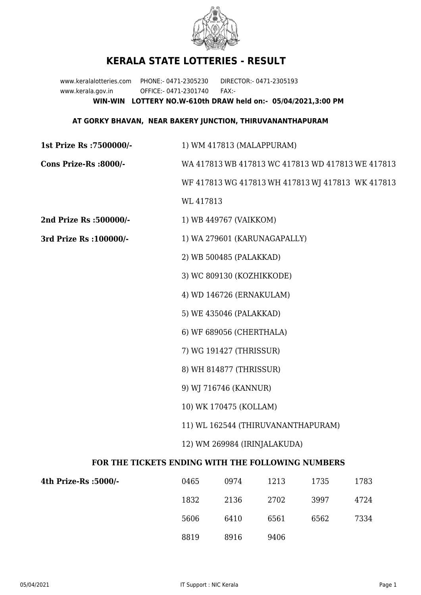

## **KERALA STATE LOTTERIES - RESULT**

www.keralalotteries.com PHONE:- 0471-2305230 DIRECTOR:- 0471-2305193 www.kerala.gov.in OFFICE:- 0471-2301740 FAX:- **WIN-WIN LOTTERY NO.W-610th DRAW held on:- 05/04/2021,3:00 PM**

## **AT GORKY BHAVAN, NEAR BAKERY JUNCTION, THIRUVANANTHAPURAM**

| 1st Prize Rs : 7500000/-                          | 1) WM 417813 (MALAPPURAM)                         |                        |      |      |                                                   |  |
|---------------------------------------------------|---------------------------------------------------|------------------------|------|------|---------------------------------------------------|--|
| Cons Prize-Rs :8000/-                             | WA 417813 WB 417813 WC 417813 WD 417813 WE 417813 |                        |      |      |                                                   |  |
|                                                   |                                                   |                        |      |      | WF 417813 WG 417813 WH 417813 WJ 417813 WK 417813 |  |
|                                                   | WL 417813                                         |                        |      |      |                                                   |  |
| 2nd Prize Rs :500000/-                            |                                                   | 1) WB 449767 (VAIKKOM) |      |      |                                                   |  |
| 3rd Prize Rs : 100000/-                           | 1) WA 279601 (KARUNAGAPALLY)                      |                        |      |      |                                                   |  |
|                                                   | 2) WB 500485 (PALAKKAD)                           |                        |      |      |                                                   |  |
|                                                   | 3) WC 809130 (KOZHIKKODE)                         |                        |      |      |                                                   |  |
|                                                   | 4) WD 146726 (ERNAKULAM)                          |                        |      |      |                                                   |  |
|                                                   | 5) WE 435046 (PALAKKAD)                           |                        |      |      |                                                   |  |
|                                                   | 6) WF 689056 (CHERTHALA)                          |                        |      |      |                                                   |  |
|                                                   | 7) WG 191427 (THRISSUR)                           |                        |      |      |                                                   |  |
|                                                   | 8) WH 814877 (THRISSUR)                           |                        |      |      |                                                   |  |
|                                                   | 9) WJ 716746 (KANNUR)                             |                        |      |      |                                                   |  |
|                                                   | 10) WK 170475 (KOLLAM)                            |                        |      |      |                                                   |  |
|                                                   | 11) WL 162544 (THIRUVANANTHAPURAM)                |                        |      |      |                                                   |  |
|                                                   | 12) WM 269984 (IRINJALAKUDA)                      |                        |      |      |                                                   |  |
| FOR THE TICKETS ENDING WITH THE FOLLOWING NUMBERS |                                                   |                        |      |      |                                                   |  |
| 4th Prize-Rs : 5000/-                             | 0465                                              | 0974                   | 1213 | 1735 | 1783                                              |  |
|                                                   | 1832                                              | 2136                   | 2702 | 3997 | 4724                                              |  |

8819 8916 9406

5606 6410 6561 6562 7334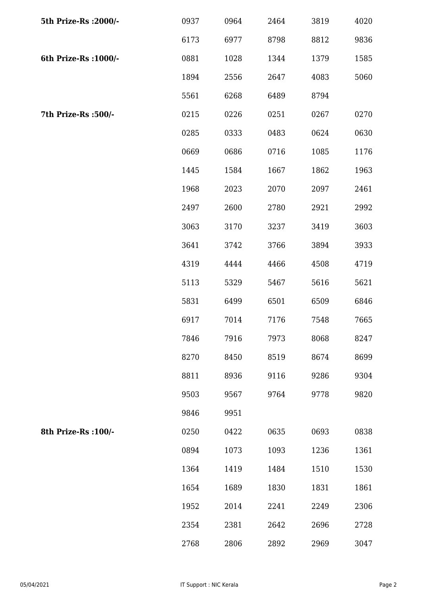| 5th Prize-Rs : 2000/- | 0937 | 0964 | 2464 | 3819 | 4020 |
|-----------------------|------|------|------|------|------|
|                       | 6173 | 6977 | 8798 | 8812 | 9836 |
| 6th Prize-Rs : 1000/- | 0881 | 1028 | 1344 | 1379 | 1585 |
|                       | 1894 | 2556 | 2647 | 4083 | 5060 |
|                       | 5561 | 6268 | 6489 | 8794 |      |
| 7th Prize-Rs :500/-   | 0215 | 0226 | 0251 | 0267 | 0270 |
|                       | 0285 | 0333 | 0483 | 0624 | 0630 |
|                       | 0669 | 0686 | 0716 | 1085 | 1176 |
|                       | 1445 | 1584 | 1667 | 1862 | 1963 |
|                       | 1968 | 2023 | 2070 | 2097 | 2461 |
|                       | 2497 | 2600 | 2780 | 2921 | 2992 |
|                       | 3063 | 3170 | 3237 | 3419 | 3603 |
|                       | 3641 | 3742 | 3766 | 3894 | 3933 |
|                       | 4319 | 4444 | 4466 | 4508 | 4719 |
|                       | 5113 | 5329 | 5467 | 5616 | 5621 |
|                       | 5831 | 6499 | 6501 | 6509 | 6846 |
|                       | 6917 | 7014 | 7176 | 7548 | 7665 |
|                       | 7846 | 7916 | 7973 | 8068 | 8247 |
|                       | 8270 | 8450 | 8519 | 8674 | 8699 |
|                       | 8811 | 8936 | 9116 | 9286 | 9304 |
|                       | 9503 | 9567 | 9764 | 9778 | 9820 |
|                       | 9846 | 9951 |      |      |      |
| 8th Prize-Rs : 100/-  | 0250 | 0422 | 0635 | 0693 | 0838 |
|                       | 0894 | 1073 | 1093 | 1236 | 1361 |
|                       | 1364 | 1419 | 1484 | 1510 | 1530 |
|                       | 1654 | 1689 | 1830 | 1831 | 1861 |
|                       | 1952 | 2014 | 2241 | 2249 | 2306 |
|                       | 2354 | 2381 | 2642 | 2696 | 2728 |
|                       | 2768 | 2806 | 2892 | 2969 | 3047 |